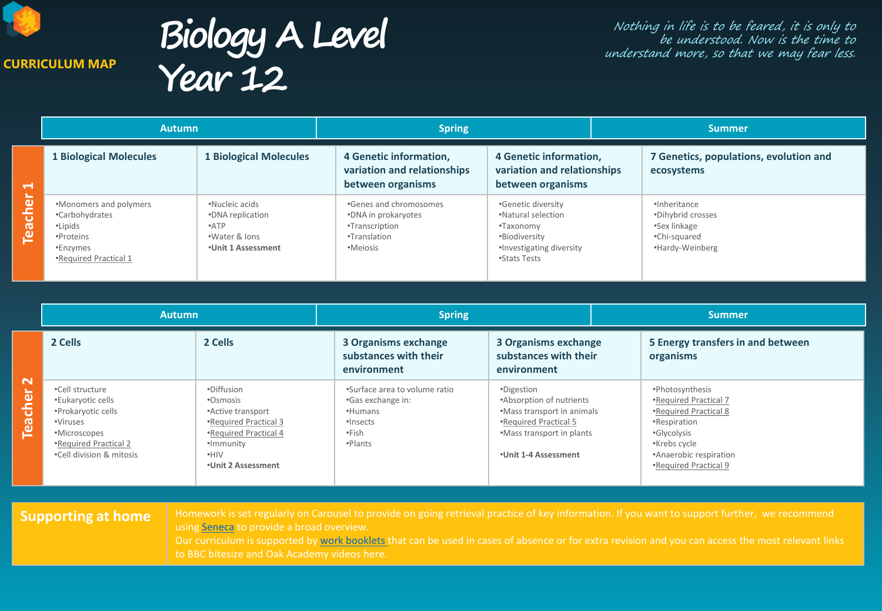

**CURRICULUM MAP**

**Biology A Level Year 12**

Nothing in life is to be feared, it is only to be understood. Now is the time to understand more, so that we may fear less.

|                | <b>Autumn</b>                                                                                         |                                                                                          | <b>Spring</b>                                                                               |                                                                                                                    |  | <b>Summer</b>                                                                        |  |
|----------------|-------------------------------------------------------------------------------------------------------|------------------------------------------------------------------------------------------|---------------------------------------------------------------------------------------------|--------------------------------------------------------------------------------------------------------------------|--|--------------------------------------------------------------------------------------|--|
| $\blacksquare$ | <b>1 Biological Molecules</b>                                                                         | <b>1 Biological Molecules</b>                                                            | 4 Genetic information,<br>variation and relationships<br>between organisms                  | 4 Genetic information,<br>variation and relationships<br>between organisms                                         |  | 7 Genetics, populations, evolution and<br>ecosystems                                 |  |
| <b>Teacher</b> | •Monomers and polymers<br>•Carbohydrates<br>•Lipids<br>•Proteins<br>•Enzymes<br>•Required Practical 1 | •Nucleic acids<br>•DNA replication<br>$\cdot$ ATP<br>.Water & lons<br>*Unit 1 Assessment | .Genes and chromosomes<br>•DNA in prokaryotes<br>•Transcription<br>•Translation<br>•Meiosis | •Genetic diversity<br>.Natural selection<br>•Taxonomy<br>•Biodiversity<br>•Investigating diversity<br>•Stats Tests |  | ·Inheritance<br>*Dihybrid crosses<br>•Sex linkage<br>•Chi-squared<br>•Hardy-Weinberg |  |

|                                   | <b>Autumn</b>                                                                                                                               |                                                                                                                                                 | <b>Spring</b>                                                                                 |                                                                                                                                                    | <b>Summer</b>                                                                                                                                                       |  |
|-----------------------------------|---------------------------------------------------------------------------------------------------------------------------------------------|-------------------------------------------------------------------------------------------------------------------------------------------------|-----------------------------------------------------------------------------------------------|----------------------------------------------------------------------------------------------------------------------------------------------------|---------------------------------------------------------------------------------------------------------------------------------------------------------------------|--|
|                                   | 2 Cells                                                                                                                                     | 2 Cells                                                                                                                                         | 3 Organisms exchange<br>substances with their<br>environment                                  | 3 Organisms exchange<br>substances with their<br>environment                                                                                       | 5 Energy transfers in and between<br>organisms                                                                                                                      |  |
| $\mathbf{\sim}$<br><b>Teacher</b> | •Cell structure<br>•Eukaryotic cells<br>•Prokaryotic cells<br>•Viruses<br>•Microscopes<br>•Required Practical 2<br>.Cell division & mitosis | •Diffusion<br>•Osmosis<br>•Active transport<br>•Required Practical 3<br>•Required Practical 4<br>·Immunity<br>$\cdot$ HIV<br>•Unit 2 Assessment | .Surface area to volume ratio<br>•Gas exchange in:<br>•Humans<br>·Insects<br>∙Fish<br>•Plants | •Digestion<br>•Absorption of nutrients<br>•Mass transport in animals<br>•Required Practical 5<br>•Mass transport in plants<br>•Unit 1-4 Assessment | •Photosynthesis<br>•Required Practical 7<br>•Required Practical 8<br>•Respiration<br>•Glycolysis<br>•Krebs cycle<br>•Anaerobic respiration<br>•Required Practical 9 |  |

**Supporting at home** | Homework is set regularly on Carousel to provide on going retrieval practice of key information. If you want to support further, we recommend using [Seneca](https://senecalearning.com/en-GB/) to provide a broad overview. Our curriculum is supported by [work booklets t](https://drive.google.com/drive/folders/16GnxX_i-2ope5k5MHnd-L5J5wVSHCmwV?usp=sharing)hat can be used in cases of absence or for extra revision and you can access the most relevant links